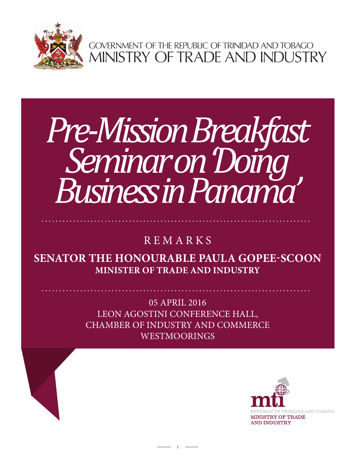

GOVERNMENT OF THE REPUBLIC OF TRINIDAD AND TOBAGO<br>MINISTRY OF TRADE AND INDUSTRY

## **Less in Pan** *Pre-Mission Breakfast Seminar on 'Doing Business in Panama'*

## REMARKS

**SENATOR THE HONOURABLE PAULA GOPEE-SCOON MINISTER OF TRADE AND INDUSTRY**

> 05 APRIL 2016 LEON AGOSTINI CONFERENCE HALL, CHAMBER OF INDUSTRY AND COMMERCE WESTMOORINGS

> > 1

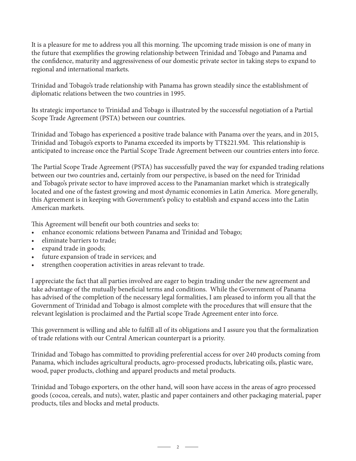It is a pleasure for me to address you all this morning. The upcoming trade mission is one of many in the future that exemplifies the growing relationship between Trinidad and Tobago and Panama and the confidence, maturity and aggressiveness of our domestic private sector in taking steps to expand to regional and international markets.

Trinidad and Tobago's trade relationship with Panama has grown steadily since the establishment of diplomatic relations between the two countries in 1995.

Its strategic importance to Trinidad and Tobago is illustrated by the successful negotiation of a Partial Scope Trade Agreement (PSTA) between our countries.

Trinidad and Tobago has experienced a positive trade balance with Panama over the years, and in 2015, Trinidad and Tobago's exports to Panama exceeded its imports by TT\$221.9M. This relationship is anticipated to increase once the Partial Scope Trade Agreement between our countries enters into force.

The Partial Scope Trade Agreement (PSTA) has successfully paved the way for expanded trading relations between our two countries and, certainly from our perspective, is based on the need for Trinidad and Tobago's private sector to have improved access to the Panamanian market which is strategically located and one of the fastest growing and most dynamic economies in Latin America. More generally, this Agreement is in keeping with Government's policy to establish and expand access into the Latin American markets.

This Agreement will benefit our both countries and seeks to:

- enhance economic relations between Panama and Trinidad and Tobago;
- eliminate barriers to trade;
- expand trade in goods;
- future expansion of trade in services; and
- strengthen cooperation activities in areas relevant to trade.

I appreciate the fact that all parties involved are eager to begin trading under the new agreement and take advantage of the mutually beneficial terms and conditions. While the Government of Panama has advised of the completion of the necessary legal formalities, I am pleased to inform you all that the Government of Trinidad and Tobago is almost complete with the procedures that will ensure that the relevant legislation is proclaimed and the Partial scope Trade Agreement enter into force.

This government is willing and able to fulfill all of its obligations and I assure you that the formalization of trade relations with our Central American counterpart is a priority.

Trinidad and Tobago has committed to providing preferential access for over 240 products coming from Panama, which includes agricultural products, agro-processed products, lubricating oils, plastic ware, wood, paper products, clothing and apparel products and metal products.

Trinidad and Tobago exporters, on the other hand, will soon have access in the areas of agro processed goods (cocoa, cereals, and nuts), water, plastic and paper containers and other packaging material, paper products, tiles and blocks and metal products.

 $\overline{\phantom{a}}$  2  $\overline{\phantom{a}}$